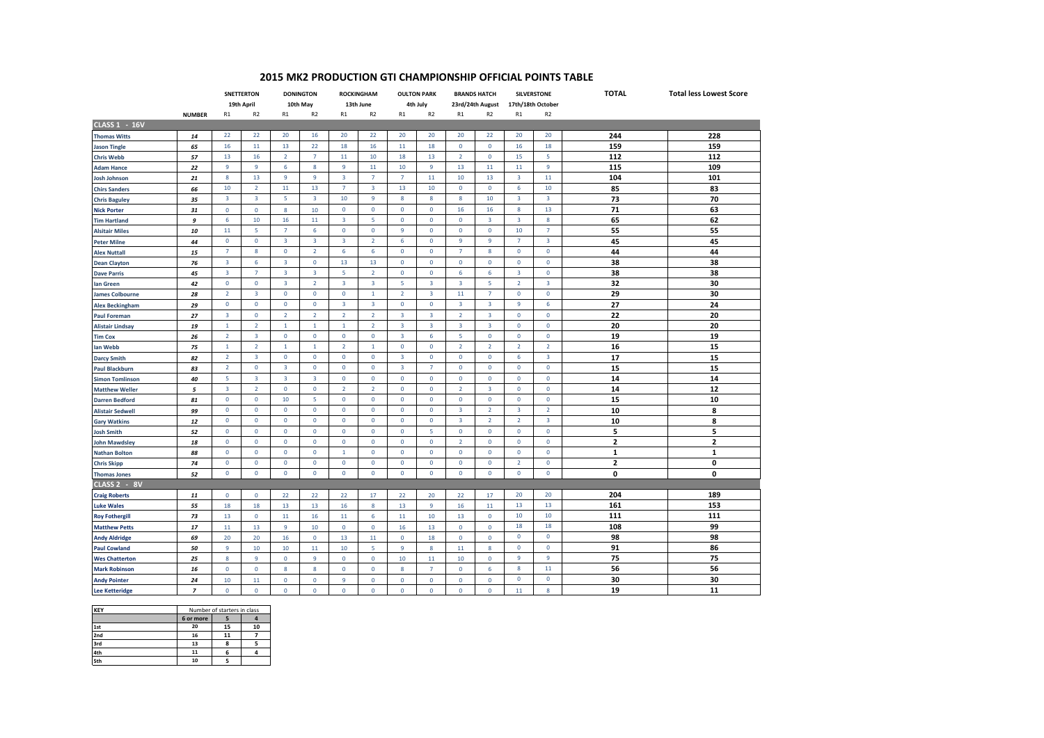## **2015 MK2 PRODUCTION GTI CHAMPIONSHIP OFFICIAL POINTS TABLE**

|                         |                | <b>SNETTERTON</b>       |                         | <b>DONINGTON</b>        |                         | <b>ROCKINGHAM</b>       |                         | <b>OULTON PARK</b>      |                         | <b>BRANDS HATCH</b>     |                               | <b>SILVERSTONE</b> |                         | <b>TOTAL</b>            | <b>Total less Lowest Score</b> |
|-------------------------|----------------|-------------------------|-------------------------|-------------------------|-------------------------|-------------------------|-------------------------|-------------------------|-------------------------|-------------------------|-------------------------------|--------------------|-------------------------|-------------------------|--------------------------------|
|                         |                | 19th April              |                         | 10th May                |                         | 13th June               |                         | 4th July                |                         | 23rd/24th August        |                               | 17th/18th October  |                         |                         |                                |
|                         | <b>NUMBER</b>  | R1                      | R <sub>2</sub>          | R1                      | R <sub>2</sub>          | R1                      | R <sub>2</sub>          | R1                      | R <sub>2</sub>          | R1                      | R <sub>2</sub>                | R1                 | R <sub>2</sub>          |                         |                                |
| <b>CLASS 1 - 16V</b>    |                |                         |                         |                         |                         |                         |                         |                         |                         |                         |                               |                    |                         |                         |                                |
| <b>Thomas Witts</b>     | 14             | 22                      | 22                      | 20                      | 16                      | 20                      | 22                      | 20                      | 20                      | 20                      | 22                            | 20                 | 20                      | 244                     | 228                            |
| <b>Jason Tingle</b>     | 65             | 16                      | 11                      | 13                      | 22                      | 18                      | 16                      | 11                      | 18                      | $\mathbf 0$             | $\mathbf 0$                   | 16                 | 18                      | 159                     | 159                            |
| <b>Chris Webb</b>       | 57             | 13                      | 16                      | $\overline{2}$          | $\overline{7}$          | 11                      | 10                      | 18                      | 13                      | $\overline{2}$          | $\mathbf{0}$                  | 15                 | 5                       | 112                     | 112                            |
| <b>Adam Hance</b>       | 22             | $\overline{9}$          | $\overline{9}$          | 6                       | 8                       | $\overline{9}$          | 11                      | 10                      | 9                       | 13                      | 11                            | 11                 | 9                       | 115                     | 109                            |
| <b>Josh Johnson</b>     | 21             | 8                       | 13                      | 9                       | 9                       | 3                       | $\overline{7}$          | $\overline{7}$          | 11                      | 10                      | 13                            | 3                  | 11                      | 104                     | 101                            |
| <b>Chirs Sanders</b>    | 66             | 10                      | $\overline{2}$          | 11                      | 13                      | $\overline{7}$          | $\overline{\mathbf{3}}$ | 13                      | 10                      | $\mathbf 0$             | $\mathbf 0$                   | 6                  | 10                      | 85                      | 83                             |
| <b>Chris Baguley</b>    | 35             | $\overline{\mathbf{3}}$ | $\overline{\mathbf{3}}$ | 5                       | 3                       | 10                      | 9                       | 8                       | 8                       | 8                       | 10                            | 3                  | 3                       | 73                      | 70                             |
| <b>Nick Porter</b>      | 31             | $\mathbf 0$             | $\mathbf 0$             | 8                       | 10                      | $\mathbf 0$             | $\mathbf 0$             | 0                       | $\mathbf 0$             | 16                      | 16                            | 8                  | 13                      | 71                      | 63                             |
| <b>Tim Hartland</b>     | 9              | 6                       | 10                      | 16                      | 11                      | $\overline{\mathbf{3}}$ | 5                       | $\mathbf 0$             | $\mathbf 0$             | $\mathbf 0$             | $\overline{\mathbf{3}}$       | 3                  | 8                       | 65                      | 62                             |
| <b>Alsitair Miles</b>   | 10             | 11                      | 5                       | $\overline{7}$          | 6                       | $\mathbf 0$             | $\mathbf 0$             | $\mathsf g$             | $\mathbf 0$             | $\mathbf 0$             | $\mathbf 0$                   | 10                 | $\overline{7}$          | 55                      | 55                             |
| <b>Peter Milne</b>      | 44             | $\mathbf 0$             | $\mathbf 0$             | 3                       | 3                       | 3                       | $\overline{2}$          | 6                       | $\mathbf 0$             | 9                       | 9                             | $\overline{7}$     | 3                       | 45                      | 45                             |
| <b>Alex Nuttall</b>     | 15             | $\overline{7}$          | 8                       | $\mathbf{0}$            | $\overline{2}$          | 6                       | 6                       | $\mathbf 0$             | $\mathbf 0$             | $\overline{7}$          | 8                             | $\mathbf{0}$       | $\mathbf{0}$            | 44                      | 44                             |
| <b>Dean Clayton</b>     | 76             | $\overline{\mathbf{3}}$ | 6                       | $\overline{\mathbf{3}}$ | $\mathbf 0$             | 13                      | 13                      | $\mathbf 0$             | $\mathbf 0$             | $\mathbf 0$             | $\mathbf 0$                   | 0                  | $\mathbf 0$             | 38                      | 38                             |
| <b>Dave Parris</b>      | 45             | $\overline{\mathbf{3}}$ | $\overline{7}$          | 3                       | 3                       | 5                       | $\overline{2}$          | 0                       | $\mathbf 0$             | 6                       | 6                             | 3                  | $\mathbf 0$             | 38                      | 38                             |
| lan Green               | 42             | $\mathbf 0$             | $\mathbf 0$             | $\overline{3}$          | $\overline{2}$          | $\overline{3}$          | $\overline{3}$          | 5                       | $\overline{\mathbf{3}}$ | $\overline{3}$          | -5                            | $\overline{2}$     | $\overline{3}$          | 32                      | 30                             |
| <b>James Colbourne</b>  | 28             | $\overline{2}$          | $\overline{\mathbf{3}}$ | $\mathbf 0$             | $\mathbf 0$             | $\mathbf 0$             | $\overline{1}$          | $\overline{2}$          | $\overline{\mathbf{3}}$ | 11                      | $\overline{7}$                | 0                  | $\mathbf 0$             | 29                      | 30                             |
| <b>Alex Beckingham</b>  | 29             | $\mathbf 0$             | $\mathbf 0$             | 0                       | $\mathbf 0$             | 3                       | $\overline{\mathbf{3}}$ | $\mathbf 0$             | $\pmb{0}$               | $\overline{\mathbf{3}}$ | $\overline{\mathbf{3}}$       | 9                  | 6                       | 27                      | 24                             |
| <b>Paul Foreman</b>     | 27             | $\overline{3}$          | $\mathbf{0}$            | $\overline{2}$          | $\overline{2}$          | $\overline{2}$          | $\overline{2}$          | $\overline{3}$          | $\overline{3}$          | $\overline{2}$          | $\overline{3}$                | $\mathbf 0$        | $\mathbf{0}$            | 22                      | 20                             |
| <b>Alistair Lindsay</b> | 19             | $\mathbf{1}$            | $\overline{2}$          | $\mathbf{1}$            | $\mathbf{1}$            | $\mathbf{1}$            | $\overline{2}$          | $\overline{3}$          | $\overline{3}$          | $\overline{3}$          | $\overline{3}$                | $\mathbf 0$        | $\mathbf{0}$            | 20                      | 20                             |
| <b>Tim Cox</b>          | 26             | $\overline{2}$          | $\overline{\mathbf{3}}$ | 0                       | $\mathbf 0$             | $\mathbf 0$             | $\mathbf 0$             | $\overline{\mathbf{3}}$ | 6                       | 5                       | $\mathbf 0$                   | 0                  | $\mathbf 0$             | 19                      | 19                             |
|                         | 75             | $\mathbf{1}$            | $\overline{2}$          | $\mathbf{1}$            | $\mathbf{1}$            | $\overline{2}$          | $\mathbf{1}$            | $\mathbf{0}$            | $\mathbf 0$             | $\overline{2}$          | $\overline{2}$                | $\overline{2}$     | $\overline{2}$          | 16                      | 15                             |
| lan Webb                |                | $\overline{2}$          | $\overline{3}$          | $\mathbf{0}$            | $\mathbf{0}$            | $\mathbf{0}$            | $\mathbf{0}$            | $\overline{3}$          | $\mathbf 0$             | $\mathbf{0}$            | $\mathbf{0}$                  | 6                  | $\overline{3}$          | 17                      | 15                             |
| <b>Darcy Smith</b>      | 82             | 2                       | $\mathbf 0$             | 3                       | $\mathbf 0$             | $\mathbf{0}$            | $\mathbf{0}$            | 3                       | $\overline{7}$          | $\mathbf{0}$            | $\mathbf{0}$                  | $\mathbf 0$        | $\mathbf{0}$            |                         |                                |
| <b>Paul Blackburn</b>   | 83             | 5                       | $\overline{\mathbf{3}}$ | $\overline{\mathbf{3}}$ | $\overline{\mathbf{3}}$ | $\mathbf 0$             | $\mathbf 0$             | $\mathbf 0$             | $\mathbf 0$             | $\mathbf 0$             | $\mathbf 0$                   | 0                  | $\mathbf 0$             | 15<br>14                | 15<br>14                       |
| <b>Simon Tomlinson</b>  | 40             | $\overline{\mathbf{3}}$ | $\overline{2}$          |                         | $\mathbf 0$             | $\overline{2}$          | $\overline{2}$          | $\mathbf 0$             | $\mathbf 0$             | $\overline{2}$          | $\overline{3}$                | 0                  | $\mathbf 0$             |                         | 12                             |
| <b>Matthew Weller</b>   | 5              | $\mathbf{0}$            |                         | 0                       | 5                       |                         |                         |                         | $\mathbf{0}$            |                         |                               |                    |                         | 14                      |                                |
| <b>Darren Bedford</b>   | 81             | $\mathbf 0$             | 0<br>$\mathbf 0$        | 10                      |                         | $\mathbf{0}$            | $\mathbf{0}$            | $\mathbf{0}$            | $\mathbf 0$             | $\mathbf{0}$            | $\mathbf 0$<br>$\overline{2}$ | 0<br>3             | $\mathbf 0$             | 15                      | 10                             |
| <b>Alistair Sedwell</b> | 99             |                         |                         | 0                       | $\mathbf 0$             | $\mathbf 0$             | $\mathbf 0$             | $\mathbf 0$             |                         | $\overline{\mathbf{3}}$ |                               |                    | $\overline{2}$          | 10                      | 8                              |
| <b>Gary Watkins</b>     | 12             | $\mathbf 0$             | $\mathbf 0$             | $\mathbf 0$             | $\mathbf 0$             | $\mathbf{0}$            | $\mathbf 0$             | $\mathbf 0$             | $\mathbf 0$             | $\overline{\mathbf{3}}$ | $\overline{2}$                | $\overline{2}$     | $\overline{\mathbf{3}}$ | 10                      | 8                              |
| <b>Josh Smith</b>       | 52             | $\mathbf 0$             | $\mathbf 0$             | 0                       | $\mathbf 0$             | $\mathbf 0$             | $\mathbf 0$             | $\mathbf 0$             | 5                       | $\mathbf 0$             | $\mathbf 0$                   | 0                  | $\mathbf 0$             | 5                       | 5                              |
| <b>John Mawdsley</b>    | 18             | $\mathbf 0$             | 0                       | $\mathbf 0$             | $\mathbf 0$             | $\mathbf{0}$            | $\mathbf 0$             | 0                       | $\mathbf 0$             | 2                       | $\mathbf{0}$                  | 0                  | $\mathbf{0}$            | $\overline{\mathbf{2}}$ | 2                              |
| <b>Nathan Bolton</b>    | 88             | $\mathbf 0$             | $\mathbf 0$             | $\mathbf{0}$            | $\mathbf 0$             | $\mathbf{1}$            | $\mathbf 0$             | $\mathbf 0$             | $\pmb{0}$               | $\mathbf 0$             | $\mathbf 0$                   | 0                  | $\mathbf 0$             | 1                       | 1                              |
| <b>Chris Skipp</b>      | 74             | $\mathbf 0$             | $\mathbf 0$             | 0                       | $\mathbf 0$             | $\mathbf 0$             | $\mathbf 0$             | $\mathbf 0$             | $\mathbf 0$             | $\mathbf 0$             | $\mathbf 0$                   | $\overline{2}$     | $\mathbf 0$             | $\overline{\mathbf{2}}$ | 0                              |
| <b>Thomas Jones</b>     | 52             | $\mathbf 0$             | $\mathbf 0$             | 0                       | $\mathbf 0$             | $\mathbf 0$             | 0                       | 0                       | $\mathbf 0$             | $\mathbf 0$             | $\mathbf 0$                   | 0                  | $\mathbf 0$             | $\mathbf{0}$            | 0                              |
| CLASS 2 - 8V            |                |                         |                         |                         |                         |                         |                         |                         |                         |                         |                               |                    |                         |                         |                                |
| <b>Craig Roberts</b>    | 11             | $\mathbf 0$             | 0                       | 22                      | 22                      | 22                      | 17                      | 22                      | 20                      | 22                      | 17                            | 20                 | 20                      | 204                     | 189                            |
| <b>Luke Wales</b>       | 55             | 18                      | 18                      | 13                      | 13                      | 16                      | 8                       | 13                      | $\overline{9}$          | 16                      | 11                            | 13                 | 13                      | 161                     | 153                            |
| <b>Roy Fothergill</b>   | 73             | 13                      | $\mathbf 0$             | 11                      | 16                      | 11                      | 6                       | 11                      | 10                      | 13                      | $\mathbf 0$                   | 10                 | 10                      | 111                     | 111                            |
| <b>Matthew Petts</b>    | 17             | 11                      | 13                      | 9                       | 10                      | $\mathbf 0$             | 0                       | 16                      | 13                      | $\mathbf 0$             | $\mathbf 0$                   | 18                 | 18                      | 108                     | 99                             |
| <b>Andy Aldridge</b>    | 69             | 20                      | 20                      | 16                      | $\mathbf 0$             | 13                      | 11                      | $\mathbf 0$             | 18                      | $\mathbf 0$             | $\mathbf 0$                   | 0                  | $\mathbf 0$             | 98                      | 98                             |
| <b>Paul Cowland</b>     | 50             | $\mathbf{q}$            | 10                      | 10                      | 11                      | 10                      | к                       | 9                       | 8                       | 11                      | 8                             | 0                  | $\mathbf 0$             | 91                      | 86                             |
| <b>Wes Chatterton</b>   | 25             | 8                       | 9                       | 0                       | 9                       | $\mathbf 0$             | $\mathbf 0$             | 10                      | 11                      | 10                      | 0                             | 9                  | 9                       | 75                      | 75                             |
| <b>Mark Robinson</b>    | 16             | $\mathbf 0$             | 0                       | 8                       | 8                       | 0                       | 0                       | 8                       | $\overline{7}$          | 0                       | 6                             | 8                  | 11                      | 56                      | 56                             |
| <b>Andy Pointer</b>     | 24             | 10                      | 11                      | $\mathbf 0$             | $\mathbf{0}$            | $\overline{9}$          | $\mathbf{0}$            | $\mathbf{0}$            | $\mathbf{0}$            | $\mathbf{0}$            | $\mathbf{0}$                  | $\mathbf{0}$       | $\mathbf{0}$            | 30                      | 30                             |
| <b>Lee Ketteridge</b>   | $\overline{z}$ | $\Omega$                | $\Omega$                | $\Omega$                | $\Omega$                | $\Omega$                | $\Omega$                | $\Omega$                | $\Omega$                | $\Omega$                | $\Omega$                      | 11                 | $\mathbf{8}$            | 19                      | 11                             |

| <b>KEY</b> | Number of starters in class |    |    |  |  |  |
|------------|-----------------------------|----|----|--|--|--|
|            | 6 or more                   |    |    |  |  |  |
| 1st        | 20                          | 15 | 10 |  |  |  |
| 2nd        | 16                          | 11 |    |  |  |  |
| 3rd        | 13                          |    |    |  |  |  |
| 4th        |                             |    |    |  |  |  |
| 5th        | 10                          |    |    |  |  |  |